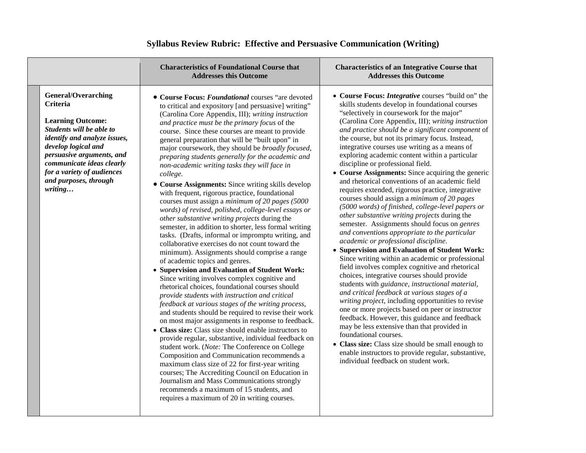|                                                                                                                                                                                                                                                                                                 | <b>Characteristics of Foundational Course that</b><br><b>Addresses this Outcome</b>                                                                                                                                                                                                                                                                                                                                                                                                                                                                                                                                                                                                                                                                                                                                                                                                                                                                                                                                                                                                                                                                                                                                                                                                                                                                                                                                                                                                                                                                                                                                                                                                                                                                                                                                                                                  | <b>Characteristics of an Integrative Course that</b><br><b>Addresses this Outcome</b>                                                                                                                                                                                                                                                                                                                                                                                                                                                                                                                                                                                                                                                                                                                                                                                                                                                                                                                                                                                                                                                                                                                                                                                                                                                                                                                                                                                                                                                                                                                                        |
|-------------------------------------------------------------------------------------------------------------------------------------------------------------------------------------------------------------------------------------------------------------------------------------------------|----------------------------------------------------------------------------------------------------------------------------------------------------------------------------------------------------------------------------------------------------------------------------------------------------------------------------------------------------------------------------------------------------------------------------------------------------------------------------------------------------------------------------------------------------------------------------------------------------------------------------------------------------------------------------------------------------------------------------------------------------------------------------------------------------------------------------------------------------------------------------------------------------------------------------------------------------------------------------------------------------------------------------------------------------------------------------------------------------------------------------------------------------------------------------------------------------------------------------------------------------------------------------------------------------------------------------------------------------------------------------------------------------------------------------------------------------------------------------------------------------------------------------------------------------------------------------------------------------------------------------------------------------------------------------------------------------------------------------------------------------------------------------------------------------------------------------------------------------------------------|------------------------------------------------------------------------------------------------------------------------------------------------------------------------------------------------------------------------------------------------------------------------------------------------------------------------------------------------------------------------------------------------------------------------------------------------------------------------------------------------------------------------------------------------------------------------------------------------------------------------------------------------------------------------------------------------------------------------------------------------------------------------------------------------------------------------------------------------------------------------------------------------------------------------------------------------------------------------------------------------------------------------------------------------------------------------------------------------------------------------------------------------------------------------------------------------------------------------------------------------------------------------------------------------------------------------------------------------------------------------------------------------------------------------------------------------------------------------------------------------------------------------------------------------------------------------------------------------------------------------------|
| <b>General/Overarching</b><br><b>Criteria</b><br><b>Learning Outcome:</b><br>Students will be able to<br><i>identify and analyze issues,</i><br>develop logical and<br>persuasive arguments, and<br>communicate ideas clearly<br>for a variety of audiences<br>and purposes, through<br>writing | • Course Focus: Foundational courses "are devoted<br>to critical and expository [and persuasive] writing"<br>(Carolina Core Appendix, III); writing instruction<br>and practice must be the primary focus of the<br>course. Since these courses are meant to provide<br>general preparation that will be "built upon" in<br>major coursework, they should be broadly focused,<br>preparing students generally for the academic and<br>non-academic writing tasks they will face in<br>college.<br>• Course Assignments: Since writing skills develop<br>with frequent, rigorous practice, foundational<br>courses must assign a minimum of 20 pages (5000<br>words) of revised, polished, college-level essays or<br>other substantive writing projects during the<br>semester, in addition to shorter, less formal writing<br>tasks. (Drafts, informal or impromptu writing, and<br>collaborative exercises do not count toward the<br>minimum). Assignments should comprise a range<br>of academic topics and genres.<br>• Supervision and Evaluation of Student Work:<br>Since writing involves complex cognitive and<br>rhetorical choices, foundational courses should<br>provide students with instruction and critical<br>feedback at various stages of the writing process,<br>and students should be required to revise their work<br>on most major assignments in response to feedback.<br>• Class size: Class size should enable instructors to<br>provide regular, substantive, individual feedback on<br>student work. (Note: The Conference on College<br>Composition and Communication recommends a<br>maximum class size of 22 for first-year writing<br>courses; The Accrediting Council on Education in<br>Journalism and Mass Communications strongly<br>recommends a maximum of 15 students, and<br>requires a maximum of 20 in writing courses. | • Course Focus: Integrative courses "build on" the<br>skills students develop in foundational courses<br>"selectively in coursework for the major"<br>(Carolina Core Appendix, III); writing instruction<br>and practice should be a significant component of<br>the course, but not its primary focus. Instead,<br>integrative courses use writing as a means of<br>exploring academic content within a particular<br>discipline or professional field.<br>• Course Assignments: Since acquiring the generic<br>and rhetorical conventions of an academic field<br>requires extended, rigorous practice, integrative<br>courses should assign a <i>minimum of 20 pages</i><br>(5000 words) of finished, college-level papers or<br>other substantive writing projects during the<br>semester. Assignments should focus on genres<br>and conventions appropriate to the particular<br>academic or professional discipline.<br>• Supervision and Evaluation of Student Work:<br>Since writing within an academic or professional<br>field involves complex cognitive and rhetorical<br>choices, integrative courses should provide<br>students with guidance, instructional material,<br>and critical feedback at various stages of a<br>writing project, including opportunities to revise<br>one or more projects based on peer or instructor<br>feedback. However, this guidance and feedback<br>may be less extensive than that provided in<br>foundational courses.<br>• Class size: Class size should be small enough to<br>enable instructors to provide regular, substantive,<br>individual feedback on student work. |

## **Syllabus Review Rubric: Effective and Persuasive Communication (Writing)**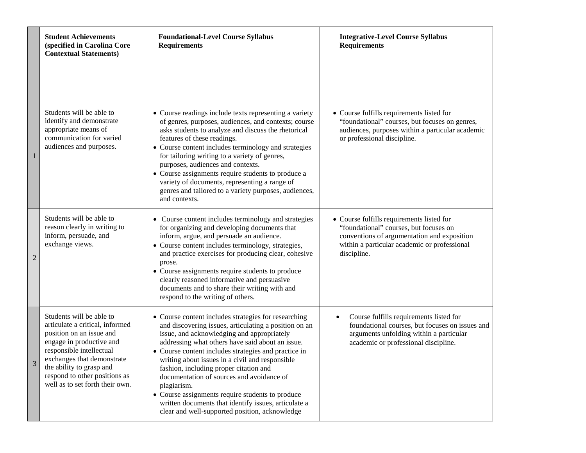|                | <b>Student Achievements</b><br>(specified in Carolina Core<br><b>Contextual Statements)</b>                                                                                                                                                                                   | <b>Foundational-Level Course Syllabus</b><br><b>Requirements</b>                                                                                                                                                                                                                                                                                                                                                                                                                                                                                                                               | <b>Integrative-Level Course Syllabus</b><br><b>Requirements</b>                                                                                                                                   |
|----------------|-------------------------------------------------------------------------------------------------------------------------------------------------------------------------------------------------------------------------------------------------------------------------------|------------------------------------------------------------------------------------------------------------------------------------------------------------------------------------------------------------------------------------------------------------------------------------------------------------------------------------------------------------------------------------------------------------------------------------------------------------------------------------------------------------------------------------------------------------------------------------------------|---------------------------------------------------------------------------------------------------------------------------------------------------------------------------------------------------|
| 1              | Students will be able to<br>identify and demonstrate<br>appropriate means of<br>communication for varied<br>audiences and purposes.                                                                                                                                           | • Course readings include texts representing a variety<br>of genres, purposes, audiences, and contexts; course<br>asks students to analyze and discuss the rhetorical<br>features of these readings.<br>• Course content includes terminology and strategies<br>for tailoring writing to a variety of genres,<br>purposes, audiences and contexts.<br>• Course assignments require students to produce a<br>variety of documents, representing a range of<br>genres and tailored to a variety purposes, audiences,<br>and contexts.                                                            | • Course fulfills requirements listed for<br>"foundational" courses, but focuses on genres,<br>audiences, purposes within a particular academic<br>or professional discipline.                    |
| $\overline{2}$ | Students will be able to<br>reason clearly in writing to<br>inform, persuade, and<br>exchange views.                                                                                                                                                                          | • Course content includes terminology and strategies<br>for organizing and developing documents that<br>inform, argue, and persuade an audience.<br>• Course content includes terminology, strategies,<br>and practice exercises for producing clear, cohesive<br>prose.<br>• Course assignments require students to produce<br>clearly reasoned informative and persuasive<br>documents and to share their writing with and<br>respond to the writing of others.                                                                                                                              | • Course fulfills requirements listed for<br>"foundational" courses, but focuses on<br>conventions of argumentation and exposition<br>within a particular academic or professional<br>discipline. |
| 3              | Students will be able to<br>articulate a critical, informed<br>position on an issue and<br>engage in productive and<br>responsible intellectual<br>exchanges that demonstrate<br>the ability to grasp and<br>respond to other positions as<br>well as to set forth their own. | • Course content includes strategies for researching<br>and discovering issues, articulating a position on an<br>issue, and acknowledging and appropriately<br>addressing what others have said about an issue.<br>• Course content includes strategies and practice in<br>writing about issues in a civil and responsible<br>fashion, including proper citation and<br>documentation of sources and avoidance of<br>plagiarism.<br>• Course assignments require students to produce<br>written documents that identify issues, articulate a<br>clear and well-supported position, acknowledge | Course fulfills requirements listed for<br>$\bullet$<br>foundational courses, but focuses on issues and<br>arguments unfolding within a particular<br>academic or professional discipline.        |